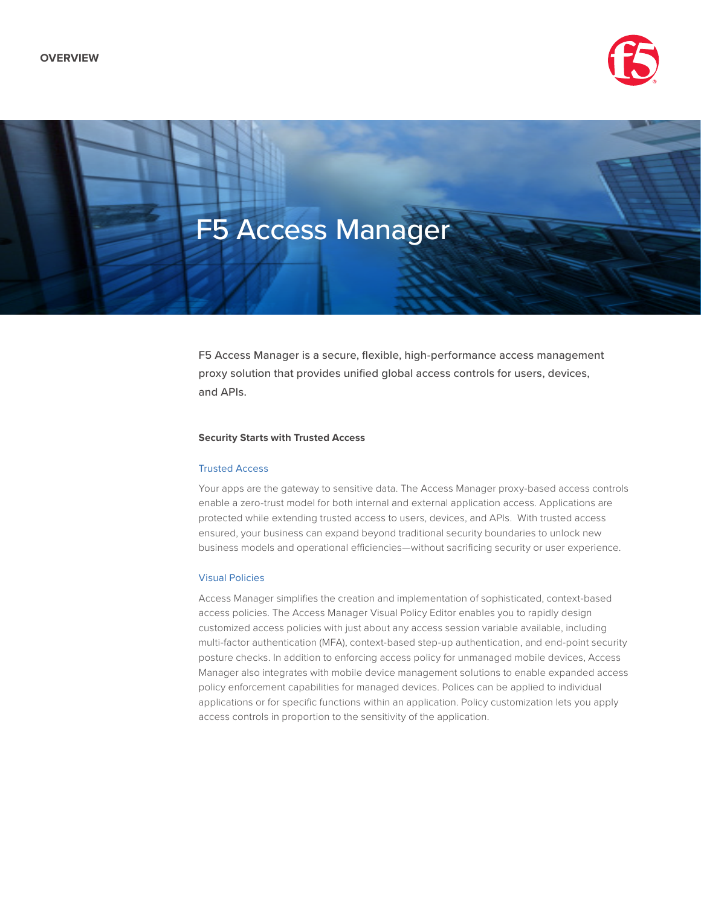



F5 Access Manager is a secure, flexible, high-performance access management proxy solution that provides unified global access controls for users, devices, and APIs.

## **Security Starts with Trusted Access**

## Trusted Access

Your apps are the gateway to sensitive data. The Access Manager proxy-based access controls enable a zero-trust model for both internal and external application access. Applications are protected while extending trusted access to users, devices, and APIs. With trusted access ensured, your business can expand beyond traditional security boundaries to unlock new business models and operational efficiencies—without sacrificing security or user experience.

# Visual Policies

Access Manager simplifies the creation and implementation of sophisticated, context-based access policies. The Access Manager Visual Policy Editor enables you to rapidly design customized access policies with just about any access session variable available, including multi-factor authentication (MFA), context-based step-up authentication, and end-point security posture checks. In addition to enforcing access policy for unmanaged mobile devices, Access Manager also integrates with mobile device management solutions to enable expanded access policy enforcement capabilities for managed devices. Polices can be applied to individual applications or for specific functions within an application. Policy customization lets you apply access controls in proportion to the sensitivity of the application.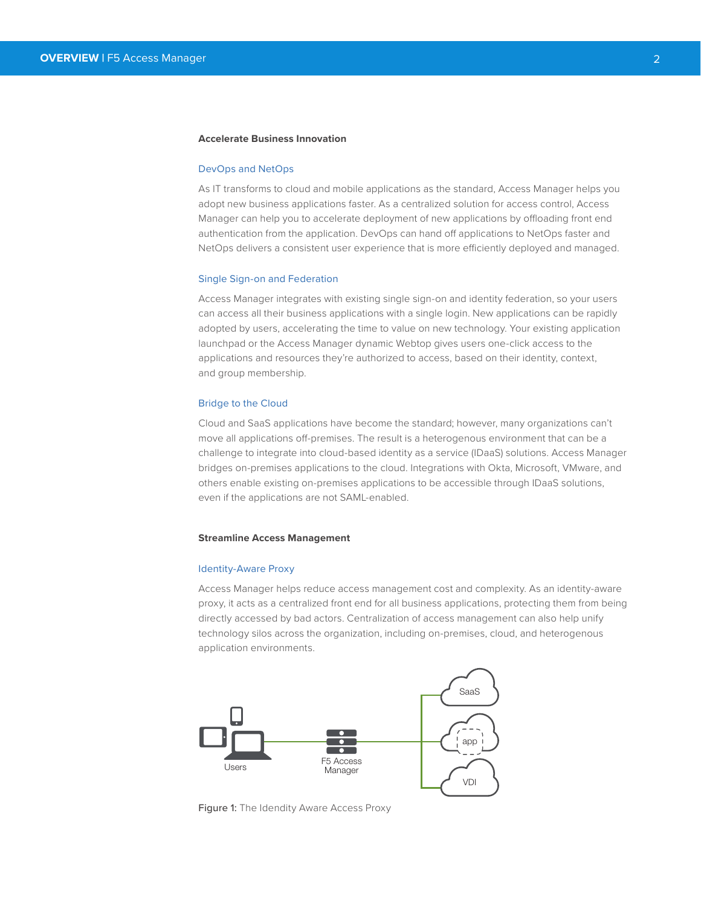## **Accelerate Business Innovation**

#### DevOps and NetOps

As IT transforms to cloud and mobile applications as the standard, Access Manager helps you adopt new business applications faster. As a centralized solution for access control, Access Manager can help you to accelerate deployment of new applications by offloading front end authentication from the application. DevOps can hand off applications to NetOps faster and NetOps delivers a consistent user experience that is more efficiently deployed and managed.

### Single Sign-on and Federation

Access Manager integrates with existing single sign-on and identity federation, so your users can access all their business applications with a single login. New applications can be rapidly adopted by users, accelerating the time to value on new technology. Your existing application launchpad or the Access Manager dynamic Webtop gives users one-click access to the applications and resources they're authorized to access, based on their identity, context, and group membership.

## Bridge to the Cloud

Cloud and SaaS applications have become the standard; however, many organizations can't move all applications off-premises. The result is a heterogenous environment that can be a challenge to integrate into cloud-based identity as a service (IDaaS) solutions. Access Manager bridges on-premises applications to the cloud. Integrations with Okta, Microsoft, VMware, and others enable existing on-premises applications to be accessible through IDaaS solutions, even if the applications are not SAML-enabled.

#### **Streamline Access Management**

#### Identity-Aware Proxy

Access Manager helps reduce access management cost and complexity. As an identity-aware proxy, it acts as a centralized front end for all business applications, protecting them from being directly accessed by bad actors. Centralization of access management can also help unify technology silos across the organization, including on-premises, cloud, and heterogenous application environments.



Figure 1: The Idendity Aware Access Proxy